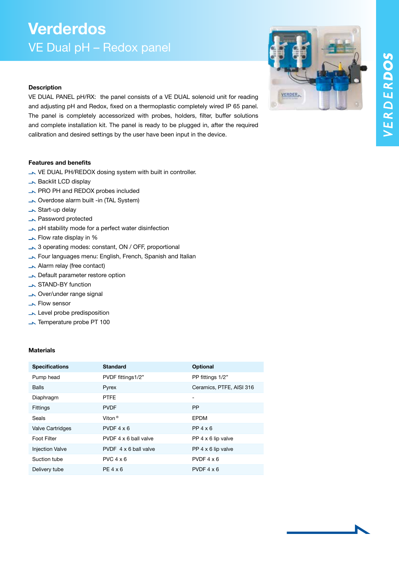## Verderdos VE Dual pH – Redox panel

### **Description**

VE DUAL PANEL pH/RX: the panel consists of a VE DUAL solenoid unit for reading and adjusting pH and Redox, fixed on a thermoplastic completely wired IP 65 panel. The panel is completely accessorized with probes, holders, filter, buffer solutions and complete installation kit. The panel is ready to be plugged in, after the required calibration and desired settings by the user have been input in the device.

### Features and benefits

- VE DUAL PH/REDOX dosing system with built in controller.
- **Backlit LCD display**
- **NO PH and REDOX probes included**
- Overdose alarm built -in (TAL System)
- Start-up delay
- **No. Password protected**
- pH stability mode for a perfect water disinfection
- **Flow rate display in %**
- $\rightarrow$  3 operating modes: constant, ON / OFF, proportional
- Four languages menu: English, French, Spanish and Italian
- Alarm relay (free contact)
- **N** Default parameter restore option
- STAND-BY function
- **Nover/under range signal**
- **Flow sensor**
- **Level probe predisposition**
- Temperature probe PT 100

### Materials

| <b>Specifications</b>   | <b>Standard</b>       | <b>Optional</b>           |
|-------------------------|-----------------------|---------------------------|
| Pump head               | PVDF fittings1/2"     | PP fittings 1/2"          |
| <b>Balls</b>            | Pyrex                 | Ceramics, PTFE, AISI 316  |
| Diaphragm               | <b>PTFE</b>           | -                         |
| <b>Fittings</b>         | <b>PVDF</b>           | <b>PP</b>                 |
| Seals                   | Viton <sup>®</sup>    | <b>EPDM</b>               |
| <b>Valve Cartridges</b> | $PVDF 4 \times 6$     | $PP$ 4 $\times$ 6         |
| Foot Filter             | PVDF 4 x 6 ball valve | PP $4 \times 6$ lip valve |
| <b>Injection Valve</b>  | PVDF 4 x 6 ball valve | PP $4 \times 6$ lip valve |
| Suction tube            | $PVC$ 4 $\times$ 6    | PVDF $4 \times 6$         |
| Delivery tube           | $PE 4 \times 6$       | PVDF $4 \times 6$         |